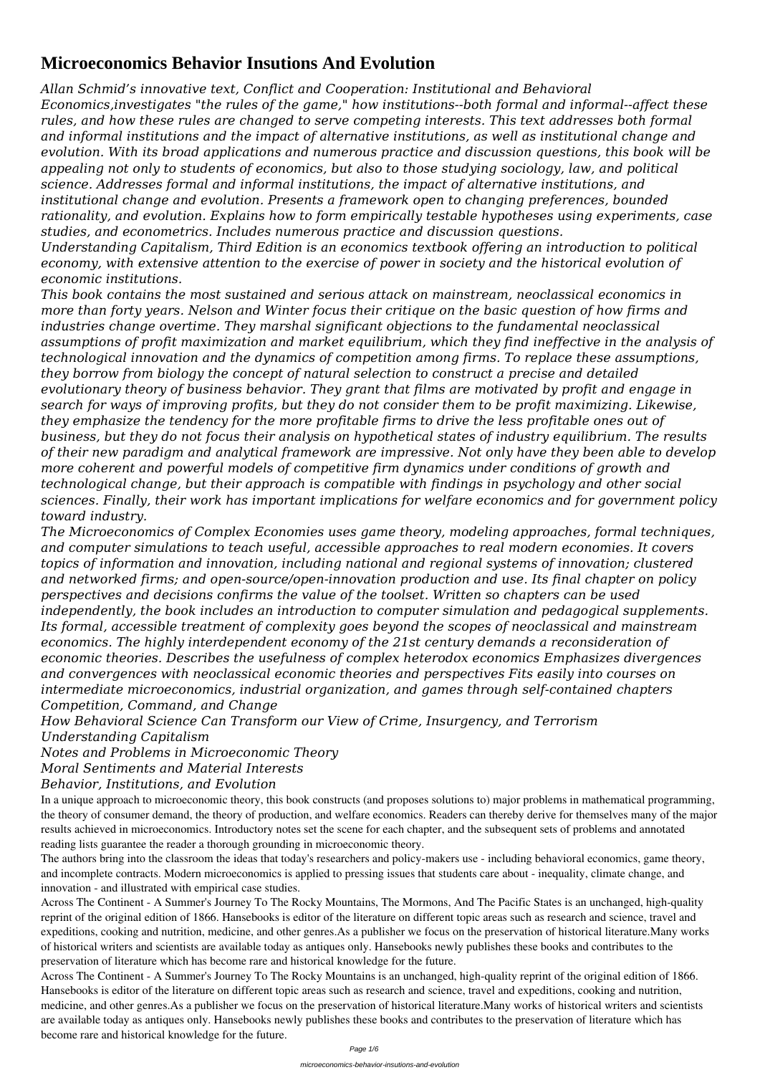## **Microeconomics Behavior Insutions And Evolution**

*Allan Schmid's innovative text, Conflict and Cooperation: Institutional and Behavioral Economics,investigates "the rules of the game," how institutions--both formal and informal--affect these rules, and how these rules are changed to serve competing interests. This text addresses both formal and informal institutions and the impact of alternative institutions, as well as institutional change and evolution. With its broad applications and numerous practice and discussion questions, this book will be appealing not only to students of economics, but also to those studying sociology, law, and political science. Addresses formal and informal institutions, the impact of alternative institutions, and institutional change and evolution. Presents a framework open to changing preferences, bounded rationality, and evolution. Explains how to form empirically testable hypotheses using experiments, case studies, and econometrics. Includes numerous practice and discussion questions.*

*Understanding Capitalism, Third Edition is an economics textbook offering an introduction to political economy, with extensive attention to the exercise of power in society and the historical evolution of economic institutions.*

*This book contains the most sustained and serious attack on mainstream, neoclassical economics in more than forty years. Nelson and Winter focus their critique on the basic question of how firms and industries change overtime. They marshal significant objections to the fundamental neoclassical assumptions of profit maximization and market equilibrium, which they find ineffective in the analysis of technological innovation and the dynamics of competition among firms. To replace these assumptions, they borrow from biology the concept of natural selection to construct a precise and detailed evolutionary theory of business behavior. They grant that films are motivated by profit and engage in search for ways of improving profits, but they do not consider them to be profit maximizing. Likewise, they emphasize the tendency for the more profitable firms to drive the less profitable ones out of business, but they do not focus their analysis on hypothetical states of industry equilibrium. The results of their new paradigm and analytical framework are impressive. Not only have they been able to develop more coherent and powerful models of competitive firm dynamics under conditions of growth and technological change, but their approach is compatible with findings in psychology and other social sciences. Finally, their work has important implications for welfare economics and for government policy toward industry.*

*The Microeconomics of Complex Economies uses game theory, modeling approaches, formal techniques, and computer simulations to teach useful, accessible approaches to real modern economies. It covers topics of information and innovation, including national and regional systems of innovation; clustered and networked firms; and open-source/open-innovation production and use. Its final chapter on policy perspectives and decisions confirms the value of the toolset. Written so chapters can be used independently, the book includes an introduction to computer simulation and pedagogical supplements. Its formal, accessible treatment of complexity goes beyond the scopes of neoclassical and mainstream economics. The highly interdependent economy of the 21st century demands a reconsideration of economic theories. Describes the usefulness of complex heterodox economics Emphasizes divergences and convergences with neoclassical economic theories and perspectives Fits easily into courses on intermediate microeconomics, industrial organization, and games through self-contained chapters Competition, Command, and Change*

*How Behavioral Science Can Transform our View of Crime, Insurgency, and Terrorism Understanding Capitalism*

*Notes and Problems in Microeconomic Theory*

*Moral Sentiments and Material Interests*

*Behavior, Institutions, and Evolution*

In a unique approach to microeconomic theory, this book constructs (and proposes solutions to) major problems in mathematical programming, the theory of consumer demand, the theory of production, and welfare economics. Readers can thereby derive for themselves many of the major results achieved in microeconomics. Introductory notes set the scene for each chapter, and the subsequent sets of problems and annotated reading lists guarantee the reader a thorough grounding in microeconomic theory.

The authors bring into the classroom the ideas that today's researchers and policy-makers use - including behavioral economics, game theory, and incomplete contracts. Modern microeconomics is applied to pressing issues that students care about - inequality, climate change, and innovation - and illustrated with empirical case studies.

Across The Continent - A Summer's Journey To The Rocky Mountains, The Mormons, And The Pacific States is an unchanged, high-quality reprint of the original edition of 1866. Hansebooks is editor of the literature on different topic areas such as research and science, travel and expeditions, cooking and nutrition, medicine, and other genres.As a publisher we focus on the preservation of historical literature.Many works of historical writers and scientists are available today as antiques only. Hansebooks newly publishes these books and contributes to the preservation of literature which has become rare and historical knowledge for the future.

Across The Continent - A Summer's Journey To The Rocky Mountains is an unchanged, high-quality reprint of the original edition of 1866. Hansebooks is editor of the literature on different topic areas such as research and science, travel and expeditions, cooking and nutrition, medicine, and other genres.As a publisher we focus on the preservation of historical literature.Many works of historical writers and scientists are available today as antiques only. Hansebooks newly publishes these books and contributes to the preservation of literature which has become rare and historical knowledge for the future.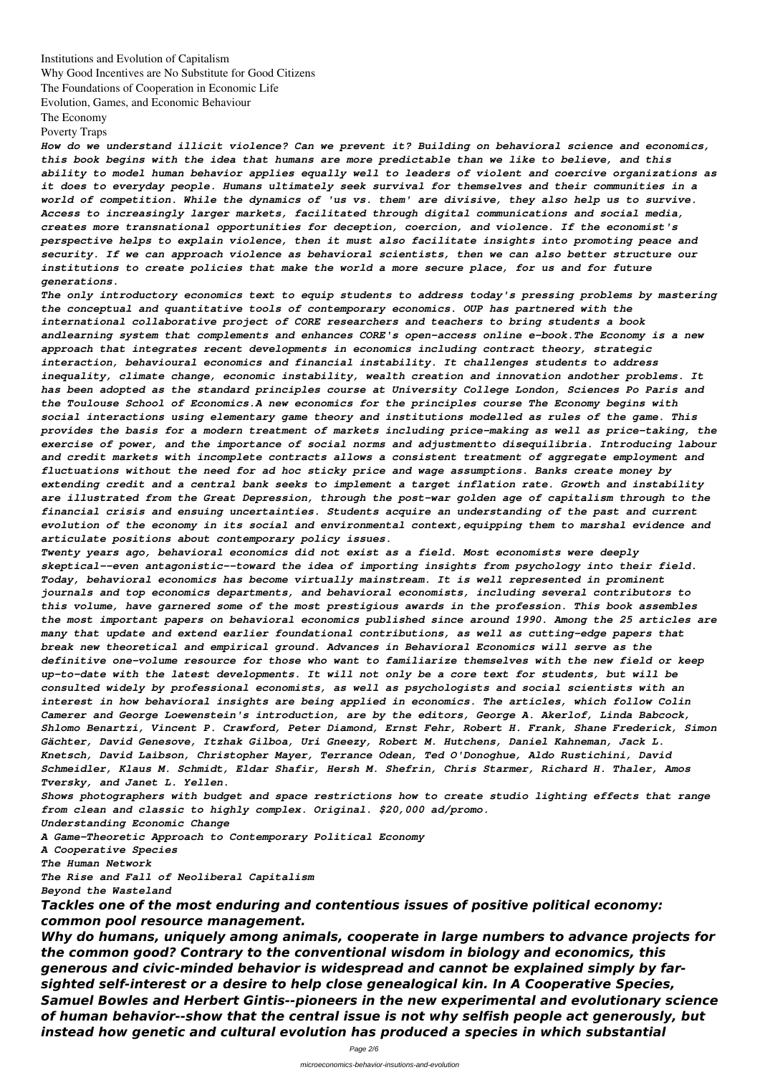Institutions and Evolution of Capitalism

Why Good Incentives are No Substitute for Good Citizens

The Foundations of Cooperation in Economic Life

Evolution, Games, and Economic Behaviour

The Economy

## Poverty Traps

*How do we understand illicit violence? Can we prevent it? Building on behavioral science and economics, this book begins with the idea that humans are more predictable than we like to believe, and this ability to model human behavior applies equally well to leaders of violent and coercive organizations as it does to everyday people. Humans ultimately seek survival for themselves and their communities in a world of competition. While the dynamics of 'us vs. them' are divisive, they also help us to survive. Access to increasingly larger markets, facilitated through digital communications and social media, creates more transnational opportunities for deception, coercion, and violence. If the economist's perspective helps to explain violence, then it must also facilitate insights into promoting peace and security. If we can approach violence as behavioral scientists, then we can also better structure our institutions to create policies that make the world a more secure place, for us and for future generations.*

*The only introductory economics text to equip students to address today's pressing problems by mastering the conceptual and quantitative tools of contemporary economics. OUP has partnered with the international collaborative project of CORE researchers and teachers to bring students a book andlearning system that complements and enhances CORE's open-access online e-book.The Economy is a new approach that integrates recent developments in economics including contract theory, strategic interaction, behavioural economics and financial instability. It challenges students to address inequality, climate change, economic instability, wealth creation and innovation andother problems. It has been adopted as the standard principles course at University College London, Sciences Po Paris and the Toulouse School of Economics.A new economics for the principles course The Economy begins with social interactions using elementary game theory and institutions modelled as rules of the game. This provides the basis for a modern treatment of markets including price-making as well as price-taking, the exercise of power, and the importance of social norms and adjustmentto disequilibria. Introducing labour and credit markets with incomplete contracts allows a consistent treatment of aggregate employment and fluctuations without the need for ad hoc sticky price and wage assumptions. Banks create money by extending credit and a central bank seeks to implement a target inflation rate. Growth and instability are illustrated from the Great Depression, through the post-war golden age of capitalism through to the financial crisis and ensuing uncertainties. Students acquire an understanding of the past and current evolution of the economy in its social and environmental context,equipping them to marshal evidence and articulate positions about contemporary policy issues.*

*Twenty years ago, behavioral economics did not exist as a field. Most economists were deeply skeptical--even antagonistic--toward the idea of importing insights from psychology into their field. Today, behavioral economics has become virtually mainstream. It is well represented in prominent journals and top economics departments, and behavioral economists, including several contributors to this volume, have garnered some of the most prestigious awards in the profession. This book assembles the most important papers on behavioral economics published since around 1990. Among the 25 articles are many that update and extend earlier foundational contributions, as well as cutting-edge papers that break new theoretical and empirical ground. Advances in Behavioral Economics will serve as the definitive one-volume resource for those who want to familiarize themselves with the new field or keep up-to-date with the latest developments. It will not only be a core text for students, but will be consulted widely by professional economists, as well as psychologists and social scientists with an interest in how behavioral insights are being applied in economics. The articles, which follow Colin Camerer and George Loewenstein's introduction, are by the editors, George A. Akerlof, Linda Babcock, Shlomo Benartzi, Vincent P. Crawford, Peter Diamond, Ernst Fehr, Robert H. Frank, Shane Frederick, Simon Gächter, David Genesove, Itzhak Gilboa, Uri Gneezy, Robert M. Hutchens, Daniel Kahneman, Jack L. Knetsch, David Laibson, Christopher Mayer, Terrance Odean, Ted O'Donoghue, Aldo Rustichini, David Schmeidler, Klaus M. Schmidt, Eldar Shafir, Hersh M. Shefrin, Chris Starmer, Richard H. Thaler, Amos Tversky, and Janet L. Yellen.*

*Shows photographers with budget and space restrictions how to create studio lighting effects that range from clean and classic to highly complex. Original. \$20,000 ad/promo. Understanding Economic Change*

*A Game-Theoretic Approach to Contemporary Political Economy*

*A Cooperative Species*

*The Human Network*

*The Rise and Fall of Neoliberal Capitalism*

*Beyond the Wasteland*

*Tackles one of the most enduring and contentious issues of positive political economy: common pool resource management.*

*Why do humans, uniquely among animals, cooperate in large numbers to advance projects for the common good? Contrary to the conventional wisdom in biology and economics, this generous and civic-minded behavior is widespread and cannot be explained simply by farsighted self-interest or a desire to help close genealogical kin. In A Cooperative Species, Samuel Bowles and Herbert Gintis--pioneers in the new experimental and evolutionary science of human behavior--show that the central issue is not why selfish people act generously, but instead how genetic and cultural evolution has produced a species in which substantial*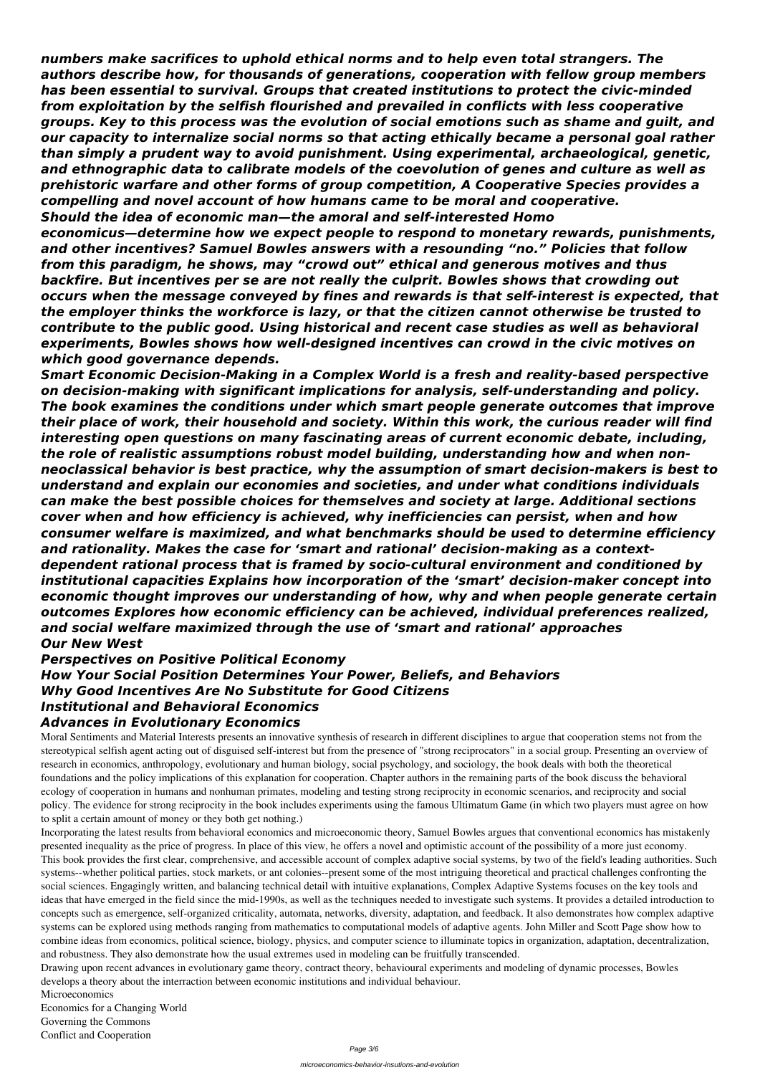*numbers make sacrifices to uphold ethical norms and to help even total strangers. The authors describe how, for thousands of generations, cooperation with fellow group members has been essential to survival. Groups that created institutions to protect the civic-minded from exploitation by the selfish flourished and prevailed in conflicts with less cooperative groups. Key to this process was the evolution of social emotions such as shame and guilt, and our capacity to internalize social norms so that acting ethically became a personal goal rather than simply a prudent way to avoid punishment. Using experimental, archaeological, genetic, and ethnographic data to calibrate models of the coevolution of genes and culture as well as prehistoric warfare and other forms of group competition, A Cooperative Species provides a compelling and novel account of how humans came to be moral and cooperative. Should the idea of economic man—the amoral and self-interested Homo*

*economicus—determine how we expect people to respond to monetary rewards, punishments, and other incentives? Samuel Bowles answers with a resounding "no." Policies that follow from this paradigm, he shows, may "crowd out" ethical and generous motives and thus backfire. But incentives per se are not really the culprit. Bowles shows that crowding out occurs when the message conveyed by fines and rewards is that self-interest is expected, that the employer thinks the workforce is lazy, or that the citizen cannot otherwise be trusted to contribute to the public good. Using historical and recent case studies as well as behavioral experiments, Bowles shows how well-designed incentives can crowd in the civic motives on which good governance depends.*

*Smart Economic Decision-Making in a Complex World is a fresh and reality-based perspective on decision-making with significant implications for analysis, self-understanding and policy. The book examines the conditions under which smart people generate outcomes that improve their place of work, their household and society. Within this work, the curious reader will find interesting open questions on many fascinating areas of current economic debate, including, the role of realistic assumptions robust model building, understanding how and when nonneoclassical behavior is best practice, why the assumption of smart decision-makers is best to understand and explain our economies and societies, and under what conditions individuals can make the best possible choices for themselves and society at large. Additional sections cover when and how efficiency is achieved, why inefficiencies can persist, when and how consumer welfare is maximized, and what benchmarks should be used to determine efficiency and rationality. Makes the case for 'smart and rational' decision-making as a contextdependent rational process that is framed by socio-cultural environment and conditioned by institutional capacities Explains how incorporation of the 'smart' decision-maker concept into economic thought improves our understanding of how, why and when people generate certain outcomes Explores how economic efficiency can be achieved, individual preferences realized, and social welfare maximized through the use of 'smart and rational' approaches Our New West*

*Perspectives on Positive Political Economy How Your Social Position Determines Your Power, Beliefs, and Behaviors Why Good Incentives Are No Substitute for Good Citizens Institutional and Behavioral Economics Advances in Evolutionary Economics*

Moral Sentiments and Material Interests presents an innovative synthesis of research in different disciplines to argue that cooperation stems not from the stereotypical selfish agent acting out of disguised self-interest but from the presence of "strong reciprocators" in a social group. Presenting an overview of research in economics, anthropology, evolutionary and human biology, social psychology, and sociology, the book deals with both the theoretical foundations and the policy implications of this explanation for cooperation. Chapter authors in the remaining parts of the book discuss the behavioral ecology of cooperation in humans and nonhuman primates, modeling and testing strong reciprocity in economic scenarios, and reciprocity and social policy. The evidence for strong reciprocity in the book includes experiments using the famous Ultimatum Game (in which two players must agree on how

to split a certain amount of money or they both get nothing.)

Incorporating the latest results from behavioral economics and microeconomic theory, Samuel Bowles argues that conventional economics has mistakenly presented inequality as the price of progress. In place of this view, he offers a novel and optimistic account of the possibility of a more just economy. This book provides the first clear, comprehensive, and accessible account of complex adaptive social systems, by two of the field's leading authorities. Such systems--whether political parties, stock markets, or ant colonies--present some of the most intriguing theoretical and practical challenges confronting the social sciences. Engagingly written, and balancing technical detail with intuitive explanations, Complex Adaptive Systems focuses on the key tools and ideas that have emerged in the field since the mid-1990s, as well as the techniques needed to investigate such systems. It provides a detailed introduction to concepts such as emergence, self-organized criticality, automata, networks, diversity, adaptation, and feedback. It also demonstrates how complex adaptive systems can be explored using methods ranging from mathematics to computational models of adaptive agents. John Miller and Scott Page show how to combine ideas from economics, political science, biology, physics, and computer science to illuminate topics in organization, adaptation, decentralization, and robustness. They also demonstrate how the usual extremes used in modeling can be fruitfully transcended.

Drawing upon recent advances in evolutionary game theory, contract theory, behavioural experiments and modeling of dynamic processes, Bowles develops a theory about the interraction between economic institutions and individual behaviour.

Microeconomics

Economics for a Changing World

Governing the Commons

Conflict and Cooperation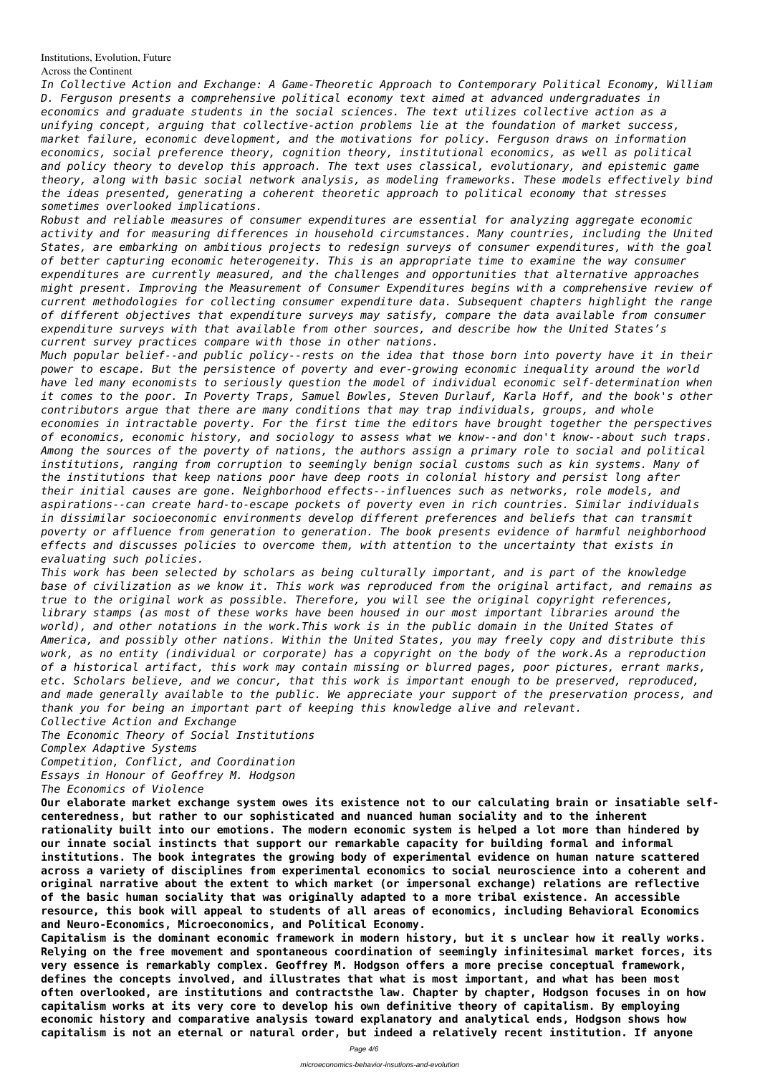Institutions, Evolution, Future

Across the Continent

*In Collective Action and Exchange: A Game-Theoretic Approach to Contemporary Political Economy, William D. Ferguson presents a comprehensive political economy text aimed at advanced undergraduates in economics and graduate students in the social sciences. The text utilizes collective action as a unifying concept, arguing that collective-action problems lie at the foundation of market success, market failure, economic development, and the motivations for policy. Ferguson draws on information economics, social preference theory, cognition theory, institutional economics, as well as political and policy theory to develop this approach. The text uses classical, evolutionary, and epistemic game theory, along with basic social network analysis, as modeling frameworks. These models effectively bind the ideas presented, generating a coherent theoretic approach to political economy that stresses sometimes overlooked implications.*

*Robust and reliable measures of consumer expenditures are essential for analyzing aggregate economic activity and for measuring differences in household circumstances. Many countries, including the United States, are embarking on ambitious projects to redesign surveys of consumer expenditures, with the goal of better capturing economic heterogeneity. This is an appropriate time to examine the way consumer expenditures are currently measured, and the challenges and opportunities that alternative approaches might present. Improving the Measurement of Consumer Expenditures begins with a comprehensive review of current methodologies for collecting consumer expenditure data. Subsequent chapters highlight the range of different objectives that expenditure surveys may satisfy, compare the data available from consumer expenditure surveys with that available from other sources, and describe how the United States's current survey practices compare with those in other nations.*

*Much popular belief--and public policy--rests on the idea that those born into poverty have it in their power to escape. But the persistence of poverty and ever-growing economic inequality around the world have led many economists to seriously question the model of individual economic self-determination when it comes to the poor. In Poverty Traps, Samuel Bowles, Steven Durlauf, Karla Hoff, and the book's other contributors argue that there are many conditions that may trap individuals, groups, and whole economies in intractable poverty. For the first time the editors have brought together the perspectives of economics, economic history, and sociology to assess what we know--and don't know--about such traps. Among the sources of the poverty of nations, the authors assign a primary role to social and political institutions, ranging from corruption to seemingly benign social customs such as kin systems. Many of the institutions that keep nations poor have deep roots in colonial history and persist long after their initial causes are gone. Neighborhood effects--influences such as networks, role models, and aspirations--can create hard-to-escape pockets of poverty even in rich countries. Similar individuals in dissimilar socioeconomic environments develop different preferences and beliefs that can transmit poverty or affluence from generation to generation. The book presents evidence of harmful neighborhood effects and discusses policies to overcome them, with attention to the uncertainty that exists in evaluating such policies.*

*This work has been selected by scholars as being culturally important, and is part of the knowledge base of civilization as we know it. This work was reproduced from the original artifact, and remains as true to the original work as possible. Therefore, you will see the original copyright references, library stamps (as most of these works have been housed in our most important libraries around the world), and other notations in the work.This work is in the public domain in the United States of America, and possibly other nations. Within the United States, you may freely copy and distribute this work, as no entity (individual or corporate) has a copyright on the body of the work.As a reproduction of a historical artifact, this work may contain missing or blurred pages, poor pictures, errant marks, etc. Scholars believe, and we concur, that this work is important enough to be preserved, reproduced, and made generally available to the public. We appreciate your support of the preservation process, and thank you for being an important part of keeping this knowledge alive and relevant.*

*Collective Action and Exchange*

*The Economic Theory of Social Institutions Complex Adaptive Systems Competition, Conflict, and Coordination Essays in Honour of Geoffrey M. Hodgson*

*The Economics of Violence*

**Our elaborate market exchange system owes its existence not to our calculating brain or insatiable selfcenteredness, but rather to our sophisticated and nuanced human sociality and to the inherent rationality built into our emotions. The modern economic system is helped a lot more than hindered by our innate social instincts that support our remarkable capacity for building formal and informal institutions. The book integrates the growing body of experimental evidence on human nature scattered across a variety of disciplines from experimental economics to social neuroscience into a coherent and original narrative about the extent to which market (or impersonal exchange) relations are reflective of the basic human sociality that was originally adapted to a more tribal existence. An accessible resource, this book will appeal to students of all areas of economics, including Behavioral Economics and Neuro-Economics, Microeconomics, and Political Economy. Capitalism is the dominant economic framework in modern history, but it s unclear how it really works. Relying on the free movement and spontaneous coordination of seemingly infinitesimal market forces, its very essence is remarkably complex. Geoffrey M. Hodgson offers a more precise conceptual framework, defines the concepts involved, and illustrates that what is most important, and what has been most often overlooked, are institutions and contractsthe law. Chapter by chapter, Hodgson focuses in on how capitalism works at its very core to develop his own definitive theory of capitalism. By employing economic history and comparative analysis toward explanatory and analytical ends, Hodgson shows how capitalism is not an eternal or natural order, but indeed a relatively recent institution. If anyone**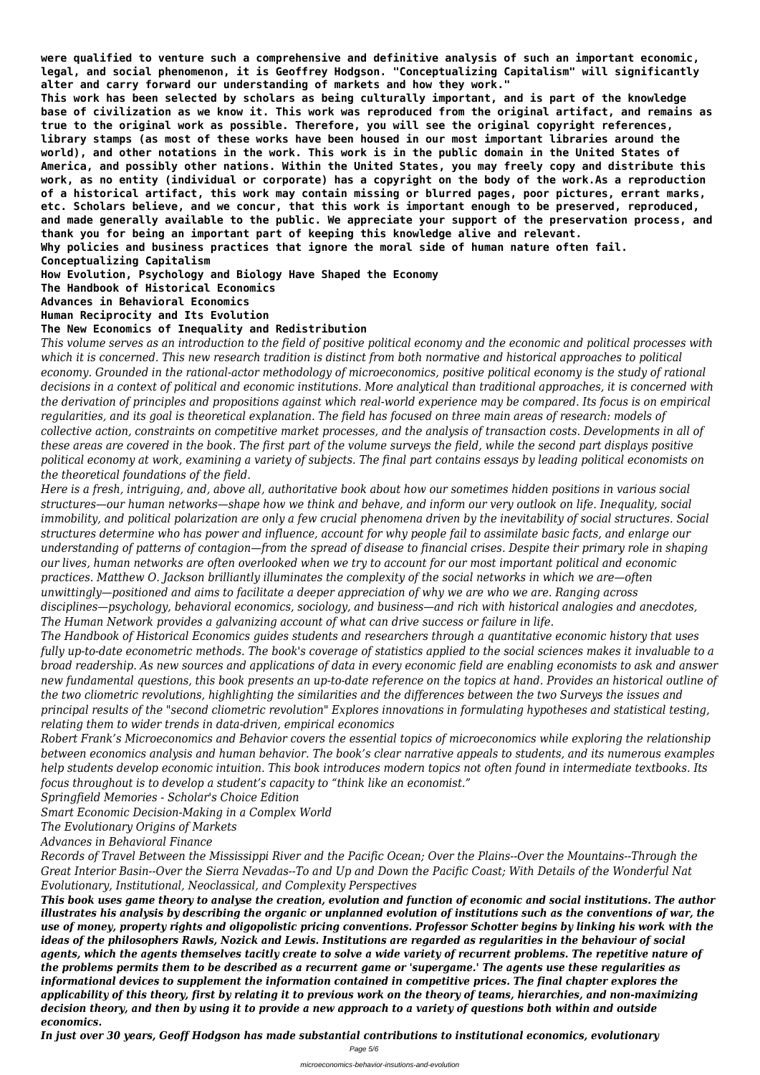**were qualified to venture such a comprehensive and definitive analysis of such an important economic, legal, and social phenomenon, it is Geoffrey Hodgson. "Conceptualizing Capitalism" will significantly alter and carry forward our understanding of markets and how they work."**

**This work has been selected by scholars as being culturally important, and is part of the knowledge base of civilization as we know it. This work was reproduced from the original artifact, and remains as true to the original work as possible. Therefore, you will see the original copyright references, library stamps (as most of these works have been housed in our most important libraries around the world), and other notations in the work. This work is in the public domain in the United States of America, and possibly other nations. Within the United States, you may freely copy and distribute this work, as no entity (individual or corporate) has a copyright on the body of the work.As a reproduction of a historical artifact, this work may contain missing or blurred pages, poor pictures, errant marks, etc. Scholars believe, and we concur, that this work is important enough to be preserved, reproduced, and made generally available to the public. We appreciate your support of the preservation process, and thank you for being an important part of keeping this knowledge alive and relevant.**

**Why policies and business practices that ignore the moral side of human nature often fail. Conceptualizing Capitalism**

**How Evolution, Psychology and Biology Have Shaped the Economy**

**The Handbook of Historical Economics**

**Advances in Behavioral Economics**

**Human Reciprocity and Its Evolution**

## **The New Economics of Inequality and Redistribution**

*This volume serves as an introduction to the field of positive political economy and the economic and political processes with which it is concerned. This new research tradition is distinct from both normative and historical approaches to political economy. Grounded in the rational-actor methodology of microeconomics, positive political economy is the study of rational decisions in a context of political and economic institutions. More analytical than traditional approaches, it is concerned with the derivation of principles and propositions against which real-world experience may be compared. Its focus is on empirical regularities, and its goal is theoretical explanation. The field has focused on three main areas of research: models of collective action, constraints on competitive market processes, and the analysis of transaction costs. Developments in all of these areas are covered in the book. The first part of the volume surveys the field, while the second part displays positive political economy at work, examining a variety of subjects. The final part contains essays by leading political economists on the theoretical foundations of the field.*

*Here is a fresh, intriguing, and, above all, authoritative book about how our sometimes hidden positions in various social structures—our human networks—shape how we think and behave, and inform our very outlook on life. Inequality, social immobility, and political polarization are only a few crucial phenomena driven by the inevitability of social structures. Social structures determine who has power and influence, account for why people fail to assimilate basic facts, and enlarge our understanding of patterns of contagion—from the spread of disease to financial crises. Despite their primary role in shaping our lives, human networks are often overlooked when we try to account for our most important political and economic practices. Matthew O. Jackson brilliantly illuminates the complexity of the social networks in which we are—often unwittingly—positioned and aims to facilitate a deeper appreciation of why we are who we are. Ranging across disciplines—psychology, behavioral economics, sociology, and business—and rich with historical analogies and anecdotes, The Human Network provides a galvanizing account of what can drive success or failure in life.*

*The Handbook of Historical Economics guides students and researchers through a quantitative economic history that uses fully up-to-date econometric methods. The book's coverage of statistics applied to the social sciences makes it invaluable to a broad readership. As new sources and applications of data in every economic field are enabling economists to ask and answer new fundamental questions, this book presents an up-to-date reference on the topics at hand. Provides an historical outline of the two cliometric revolutions, highlighting the similarities and the differences between the two Surveys the issues and principal results of the "second cliometric revolution" Explores innovations in formulating hypotheses and statistical testing, relating them to wider trends in data-driven, empirical economics*

*Robert Frank's Microeconomics and Behavior covers the essential topics of microeconomics while exploring the relationship between economics analysis and human behavior. The book's clear narrative appeals to students, and its numerous examples help students develop economic intuition. This book introduces modern topics not often found in intermediate textbooks. Its focus throughout is to develop a student's capacity to "think like an economist."*

*Springfield Memories - Scholar's Choice Edition*

*Smart Economic Decision-Making in a Complex World*

*The Evolutionary Origins of Markets*

*Advances in Behavioral Finance*

*Records of Travel Between the Mississippi River and the Pacific Ocean; Over the Plains--Over the Mountains--Through the Great Interior Basin--Over the Sierra Nevadas--To and Up and Down the Pacific Coast; With Details of the Wonderful Nat Evolutionary, Institutional, Neoclassical, and Complexity Perspectives*

*This book uses game theory to analyse the creation, evolution and function of economic and social institutions. The author illustrates his analysis by describing the organic or unplanned evolution of institutions such as the conventions of war, the use of money, property rights and oligopolistic pricing conventions. Professor Schotter begins by linking his work with the ideas of the philosophers Rawls, Nozick and Lewis. Institutions are regarded as regularities in the behaviour of social agents, which the agents themselves tacitly create to solve a wide variety of recurrent problems. The repetitive nature of the problems permits them to be described as a recurrent game or 'supergame.' The agents use these regularities as informational devices to supplement the information contained in competitive prices. The final chapter explores the applicability of this theory, first by relating it to previous work on the theory of teams, hierarchies, and non-maximizing decision theory, and then by using it to provide a new approach to a variety of questions both within and outside economics.*

*In just over 30 years, Geoff Hodgson has made substantial contributions to institutional economics, evolutionary*

Page 5/6